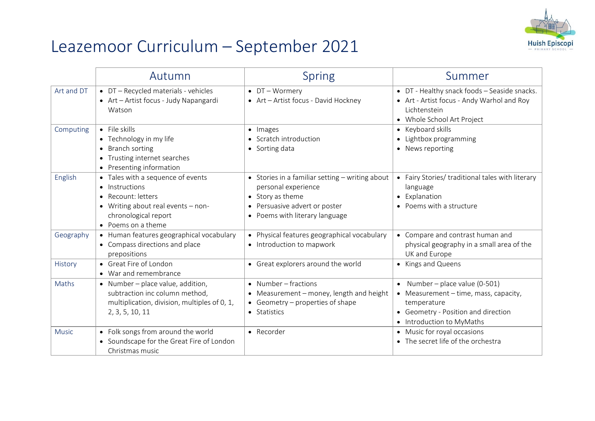

## Leazemoor Curriculum – September 2021

|              | Autumn                                                                                                                                                        | <b>Spring</b>                                                                                                                                                 | Summer                                                                                                                                                     |
|--------------|---------------------------------------------------------------------------------------------------------------------------------------------------------------|---------------------------------------------------------------------------------------------------------------------------------------------------------------|------------------------------------------------------------------------------------------------------------------------------------------------------------|
| Art and DT   | • DT - Recycled materials - vehicles<br>• Art - Artist focus - Judy Napangardi<br>Watson                                                                      | $\bullet$ DT - Wormery<br>• Art - Artist focus - David Hockney                                                                                                | • DT - Healthy snack foods - Seaside snacks.<br>• Art - Artist focus - Andy Warhol and Roy<br>Lichtenstein<br>• Whole School Art Project                   |
| Computing    | $\bullet$ File skills<br>• Technology in my life<br>• Branch sorting<br>• Trusting internet searches<br>• Presenting information                              | • Images<br>• Scratch introduction<br>• Sorting data                                                                                                          | • Keyboard skills<br>• Lightbox programming<br>• News reporting                                                                                            |
| English      | • Tales with a sequence of events<br>• Instructions<br>• Recount: letters<br>• Writing about real events - non-<br>chronological report<br>• Poems on a theme | • Stories in a familiar setting - writing about<br>personal experience<br>• Story as theme<br>• Persuasive advert or poster<br>• Poems with literary language | • Fairy Stories/ traditional tales with literary<br>language<br>• Explanation<br>• Poems with a structure                                                  |
| Geography    | • Human features geographical vocabulary<br>• Compass directions and place<br>prepositions                                                                    | • Physical features geographical vocabulary<br>• Introduction to mapwork                                                                                      | • Compare and contrast human and<br>physical geography in a small area of the<br>UK and Europe                                                             |
| History      | • Great Fire of London<br>• War and remembrance                                                                                                               | • Great explorers around the world                                                                                                                            | • Kings and Queens                                                                                                                                         |
| Maths        | • Number - place value, addition,<br>subtraction inc column method,<br>multiplication, division, multiples of 0, 1,<br>2, 3, 5, 10, 11                        | • Number $-$ fractions<br>• Measurement - money, length and height<br>• Geometry – properties of shape<br>• Statistics                                        | • Number – place value (0-501)<br>• Measurement - time, mass, capacity,<br>temperature<br>• Geometry - Position and direction<br>• Introduction to MyMaths |
| <b>Music</b> | • Folk songs from around the world<br>• Soundscape for the Great Fire of London<br>Christmas music                                                            | • Recorder                                                                                                                                                    | • Music for royal occasions<br>• The secret life of the orchestra                                                                                          |